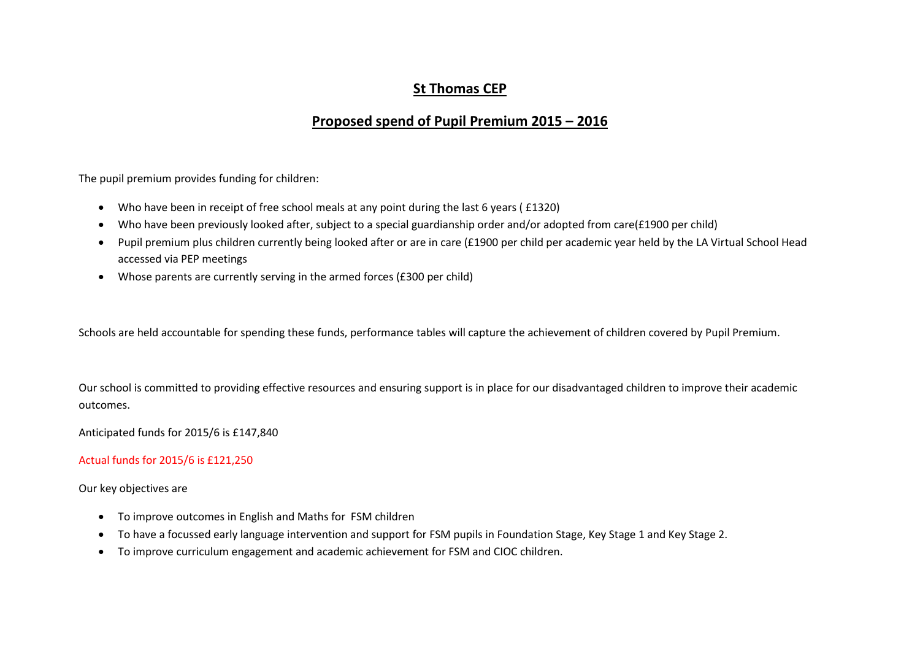## **St Thomas CEP**

## **Proposed spend of Pupil Premium 2015 – 2016**

The pupil premium provides funding for children:

- Who have been in receipt of free school meals at any point during the last 6 years ( £1320)
- Who have been previously looked after, subject to a special guardianship order and/or adopted from care(£1900 per child)
- Pupil premium plus children currently being looked after or are in care (£1900 per child per academic year held by the LA Virtual School Head accessed via PEP meetings
- Whose parents are currently serving in the armed forces (£300 per child)

Schools are held accountable for spending these funds, performance tables will capture the achievement of children covered by Pupil Premium.

Our school is committed to providing effective resources and ensuring support is in place for our disadvantaged children to improve their academic outcomes.

Anticipated funds for 2015/6 is £147,840

Actual funds for 2015/6 is £121,250

Our key objectives are

- To improve outcomes in English and Maths for FSM children
- To have a focussed early language intervention and support for FSM pupils in Foundation Stage, Key Stage 1 and Key Stage 2.
- To improve curriculum engagement and academic achievement for FSM and CIOC children.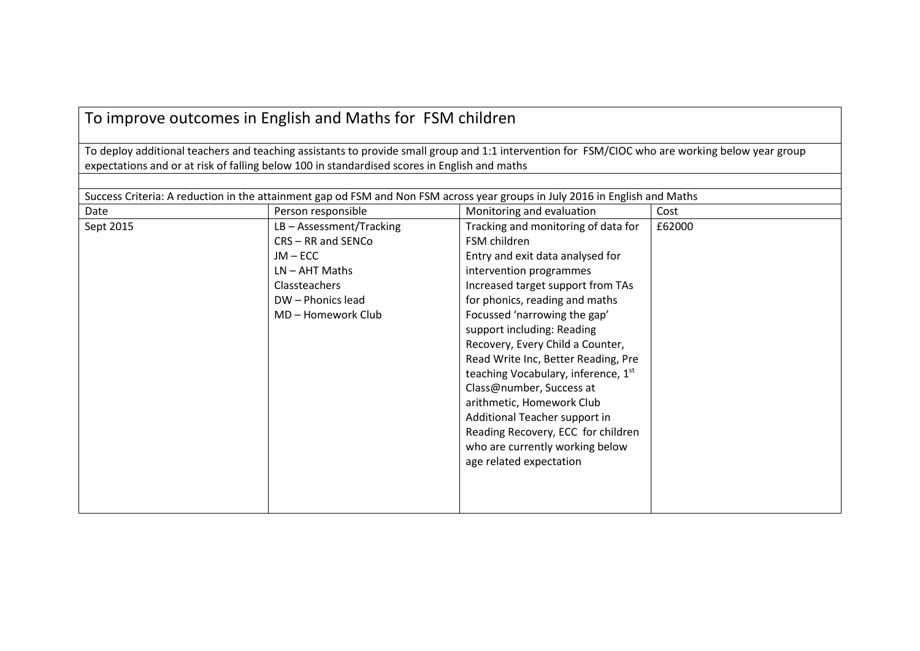# To improve outcomes in English and Maths for FSM children

To deploy additional teachers and teaching assistants to provide small group and 1:1 intervention for FSM/CIOC who are working below year group expectations and or at risk of falling below 100 in standardised scores in English and maths

| Success Criteria: A reduction in the attainment gap od FSM and Non FSM across year groups in July 2016 in English and Maths |                            |                                     |        |
|-----------------------------------------------------------------------------------------------------------------------------|----------------------------|-------------------------------------|--------|
| Date                                                                                                                        | Person responsible         | Monitoring and evaluation           | Cost   |
| Sept 2015                                                                                                                   | $LB - Assessment/Tracking$ | Tracking and monitoring of data for | £62000 |
|                                                                                                                             | CRS-RR and SENCo           | FSM children                        |        |
|                                                                                                                             | $JM - ECC$                 | Entry and exit data analysed for    |        |
|                                                                                                                             | $LN - AHT$ Maths           | intervention programmes             |        |
|                                                                                                                             | Classteachers              | Increased target support from TAs   |        |
|                                                                                                                             | DW - Phonics lead          | for phonics, reading and maths      |        |
|                                                                                                                             | MD-Homework Club           | Focussed 'narrowing the gap'        |        |
|                                                                                                                             |                            | support including: Reading          |        |
|                                                                                                                             |                            | Recovery, Every Child a Counter,    |        |
|                                                                                                                             |                            | Read Write Inc, Better Reading, Pre |        |
|                                                                                                                             |                            | teaching Vocabulary, inference, 1st |        |
|                                                                                                                             |                            | Class@number, Success at            |        |
|                                                                                                                             |                            | arithmetic, Homework Club           |        |
|                                                                                                                             |                            | Additional Teacher support in       |        |
|                                                                                                                             |                            | Reading Recovery, ECC for children  |        |
|                                                                                                                             |                            | who are currently working below     |        |
|                                                                                                                             |                            | age related expectation             |        |
|                                                                                                                             |                            |                                     |        |
|                                                                                                                             |                            |                                     |        |
|                                                                                                                             |                            |                                     |        |
|                                                                                                                             |                            |                                     |        |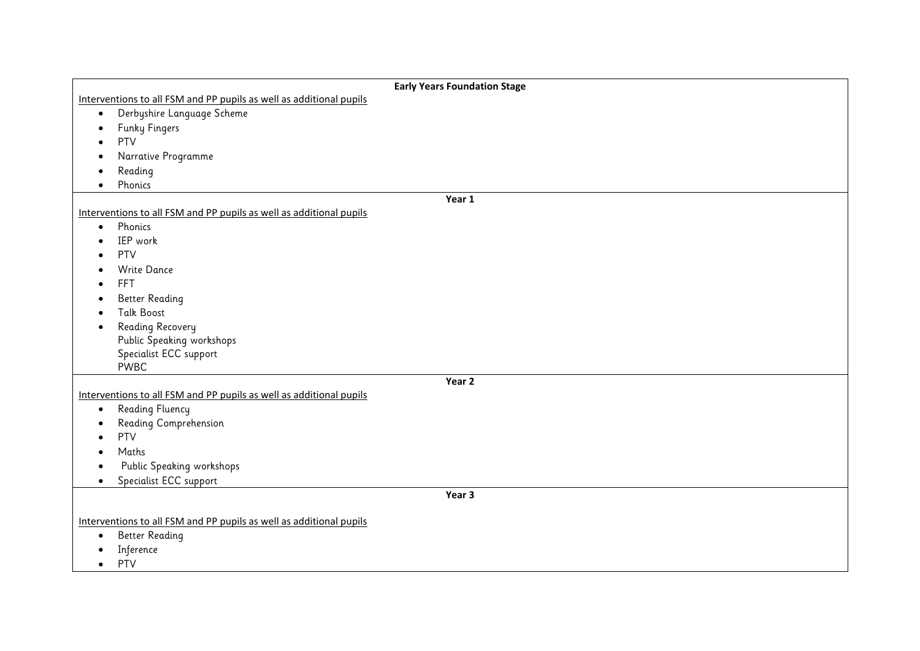| <b>Early Years Foundation Stage</b>                                 |  |  |  |
|---------------------------------------------------------------------|--|--|--|
| Interventions to all FSM and PP pupils as well as additional pupils |  |  |  |
| Derbyshire Language Scheme<br>$\bullet$                             |  |  |  |
| <b>Funky Fingers</b><br>$\bullet$                                   |  |  |  |
| PTV                                                                 |  |  |  |
| Narrative Programme                                                 |  |  |  |
| Reading                                                             |  |  |  |
| Phonics                                                             |  |  |  |
| Year 1                                                              |  |  |  |
| Interventions to all FSM and PP pupils as well as additional pupils |  |  |  |
| Phonics<br>$\bullet$                                                |  |  |  |
| IEP work                                                            |  |  |  |
| PTV                                                                 |  |  |  |
| <b>Write Dance</b>                                                  |  |  |  |
| FFT                                                                 |  |  |  |
| <b>Better Reading</b>                                               |  |  |  |
| <b>Talk Boost</b>                                                   |  |  |  |
| Reading Recovery<br>٠                                               |  |  |  |
| Public Speaking workshops                                           |  |  |  |
| Specialist ECC support                                              |  |  |  |
| PWBC                                                                |  |  |  |
| Year 2                                                              |  |  |  |
| Interventions to all FSM and PP pupils as well as additional pupils |  |  |  |
| Reading Fluency<br>$\bullet$                                        |  |  |  |
| Reading Comprehension                                               |  |  |  |
| PTV                                                                 |  |  |  |
| Maths                                                               |  |  |  |
| Public Speaking workshops                                           |  |  |  |
| Specialist ECC support<br>$\bullet$                                 |  |  |  |
| Year 3                                                              |  |  |  |
|                                                                     |  |  |  |
| Interventions to all FSM and PP pupils as well as additional pupils |  |  |  |
| <b>Better Reading</b><br>$\bullet$                                  |  |  |  |
| Inference                                                           |  |  |  |
| PTV<br>$\bullet$                                                    |  |  |  |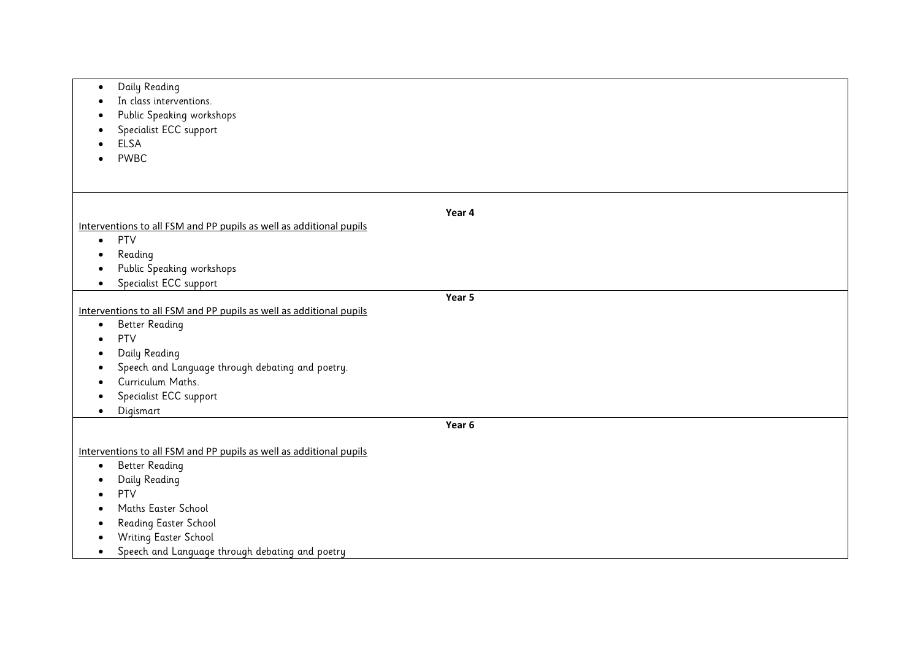| Daily Reading<br>$\bullet$                                          |        |
|---------------------------------------------------------------------|--------|
| In class interventions.<br>٠                                        |        |
| Public Speaking workshops                                           |        |
| Specialist ECC support                                              |        |
| <b>ELSA</b>                                                         |        |
| <b>PWBC</b>                                                         |        |
|                                                                     |        |
|                                                                     |        |
|                                                                     |        |
|                                                                     | Year 4 |
| Interventions to all FSM and PP pupils as well as additional pupils |        |
| PTV<br>$\bullet$                                                    |        |
| Reading<br>٠                                                        |        |
| Public Speaking workshops                                           |        |
| Specialist ECC support<br>$\bullet$                                 |        |
|                                                                     | Year 5 |
| Interventions to all FSM and PP pupils as well as additional pupils |        |
| <b>Better Reading</b><br>$\bullet$                                  |        |
| PTV<br>$\bullet$                                                    |        |
| Daily Reading<br>$\bullet$                                          |        |
| Speech and Language through debating and poetry.<br>O               |        |
| Curriculum Maths.                                                   |        |
| Specialist ECC support                                              |        |
| Digismart<br>$\bullet$                                              |        |
|                                                                     | Year 6 |
|                                                                     |        |
| Interventions to all FSM and PP pupils as well as additional pupils |        |
| <b>Better Reading</b><br>$\bullet$                                  |        |
| Daily Reading<br>٠                                                  |        |
| PTV                                                                 |        |
| Maths Easter School                                                 |        |
| Reading Easter School                                               |        |
| Writing Easter School                                               |        |
| Speech and Language through debating and poetry<br>$\bullet$        |        |
|                                                                     |        |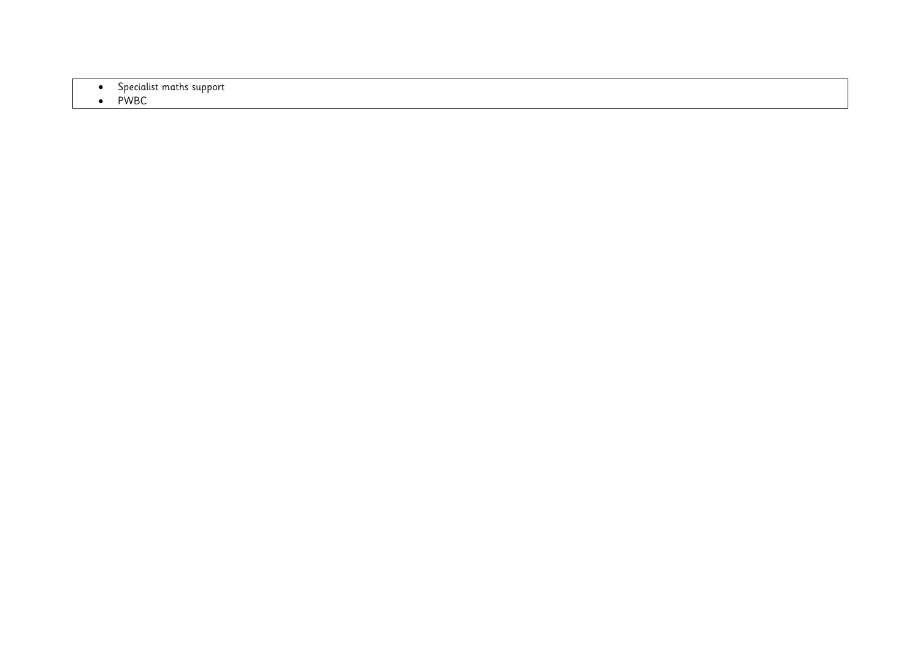**•** Specialist maths support

### • PWBC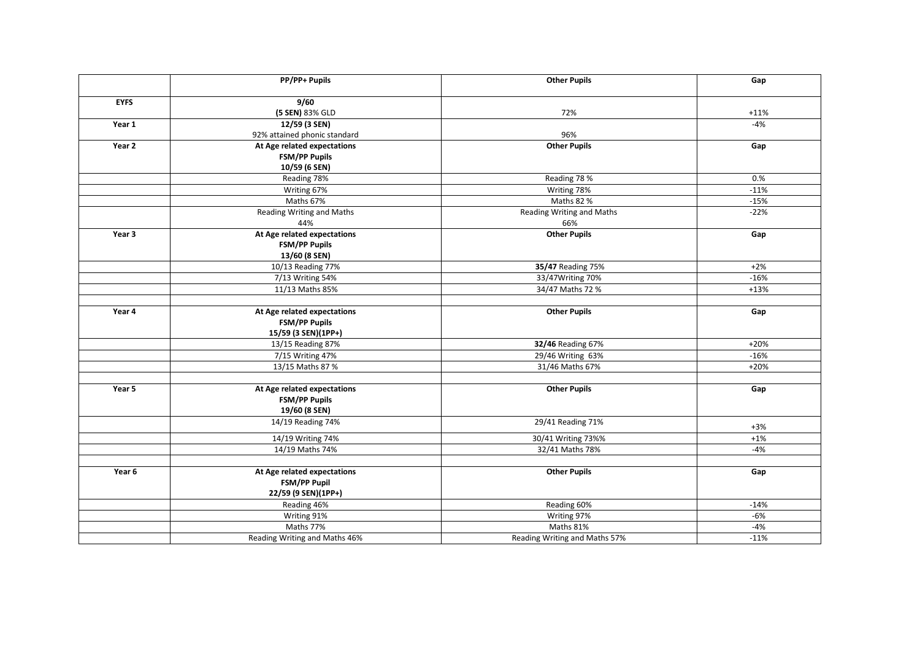|             | PP/PP+ Pupils                 | <b>Other Pupils</b>           | Gap    |
|-------------|-------------------------------|-------------------------------|--------|
|             |                               |                               |        |
| <b>EYFS</b> | 9/60                          |                               |        |
|             | (5 SEN) 83% GLD               | 72%                           | $+11%$ |
| Year 1      | 12/59 (3 SEN)                 |                               | $-4%$  |
|             | 92% attained phonic standard  | 96%                           |        |
| Year 2      | At Age related expectations   | <b>Other Pupils</b>           | Gap    |
|             | <b>FSM/PP Pupils</b>          |                               |        |
|             | 10/59 (6 SEN)                 |                               |        |
|             | Reading 78%                   | Reading 78 %                  | 0.%    |
|             | Writing 67%                   | Writing 78%                   | $-11%$ |
|             | Maths 67%                     | Maths 82 %                    | $-15%$ |
|             | Reading Writing and Maths     | Reading Writing and Maths     | $-22%$ |
|             | 44%                           | 66%                           |        |
| Year 3      | At Age related expectations   | <b>Other Pupils</b>           | Gap    |
|             | <b>FSM/PP Pupils</b>          |                               |        |
|             | 13/60 (8 SEN)                 |                               |        |
|             | 10/13 Reading 77%             | 35/47 Reading 75%             | $+2%$  |
|             | 7/13 Writing 54%              | 33/47Writing 70%              | $-16%$ |
|             | 11/13 Maths 85%               | 34/47 Maths 72 %              | $+13%$ |
|             |                               |                               |        |
| Year 4      | At Age related expectations   | <b>Other Pupils</b>           | Gap    |
|             | FSM/PP Pupils                 |                               |        |
|             | 15/59 (3 SEN)(1PP+)           |                               |        |
|             | 13/15 Reading 87%             | 32/46 Reading 67%             | $+20%$ |
|             | 7/15 Writing 47%              | 29/46 Writing 63%             | $-16%$ |
|             | 13/15 Maths 87 %              | 31/46 Maths 67%               | $+20%$ |
|             |                               |                               |        |
| Year 5      | At Age related expectations   | <b>Other Pupils</b>           | Gap    |
|             | FSM/PP Pupils                 |                               |        |
|             | 19/60 (8 SEN)                 |                               |        |
|             | 14/19 Reading 74%             | 29/41 Reading 71%             | $+3%$  |
|             | 14/19 Writing 74%             | 30/41 Writing 73%%            | $+1%$  |
|             | 14/19 Maths 74%               | 32/41 Maths 78%               | $-4%$  |
|             |                               |                               |        |
| Year 6      | At Age related expectations   | <b>Other Pupils</b>           | Gap    |
|             | FSM/PP Pupil                  |                               |        |
|             | 22/59 (9 SEN)(1PP+)           |                               |        |
|             | Reading 46%                   | Reading 60%                   | $-14%$ |
|             | Writing 91%                   | Writing 97%                   | $-6%$  |
|             | Maths 77%                     | Maths 81%                     | $-4%$  |
|             | Reading Writing and Maths 46% | Reading Writing and Maths 57% | $-11%$ |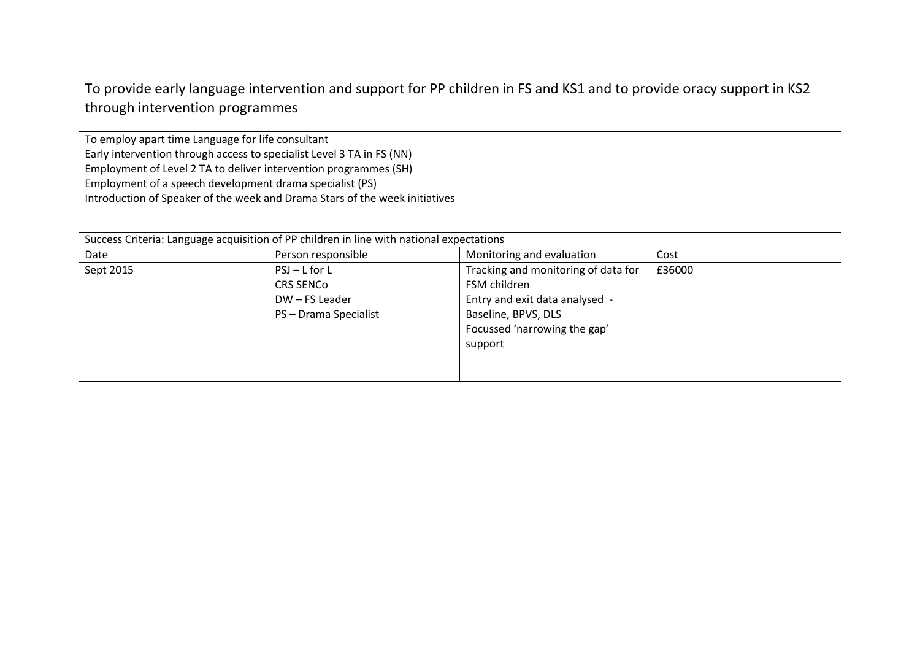| To provide early language intervention and support for PP children in FS and KS1 and to provide oracy support in KS2 |  |
|----------------------------------------------------------------------------------------------------------------------|--|
| through intervention programmes                                                                                      |  |

To employ apart time Language for life consultant Early intervention through access to specialist Level 3 TA in FS (NN) Employment of Level 2 TA to deliver intervention programmes (SH) Employment of a speech development drama specialist (PS) Introduction of Speaker of the week and Drama Stars of the week initiatives

Success Criteria: Language acquisition of PP children in line with national expectations

| Date      | Person responsible                                                           | Monitoring and evaluation                                                                                                                               | Cost   |
|-----------|------------------------------------------------------------------------------|---------------------------------------------------------------------------------------------------------------------------------------------------------|--------|
| Sept 2015 | $PSJ-L$ for L<br><b>CRS SENCO</b><br>DW - FS Leader<br>PS - Drama Specialist | Tracking and monitoring of data for<br>FSM children<br>Entry and exit data analysed -<br>Baseline, BPVS, DLS<br>Focussed 'narrowing the gap'<br>support | £36000 |
|           |                                                                              |                                                                                                                                                         |        |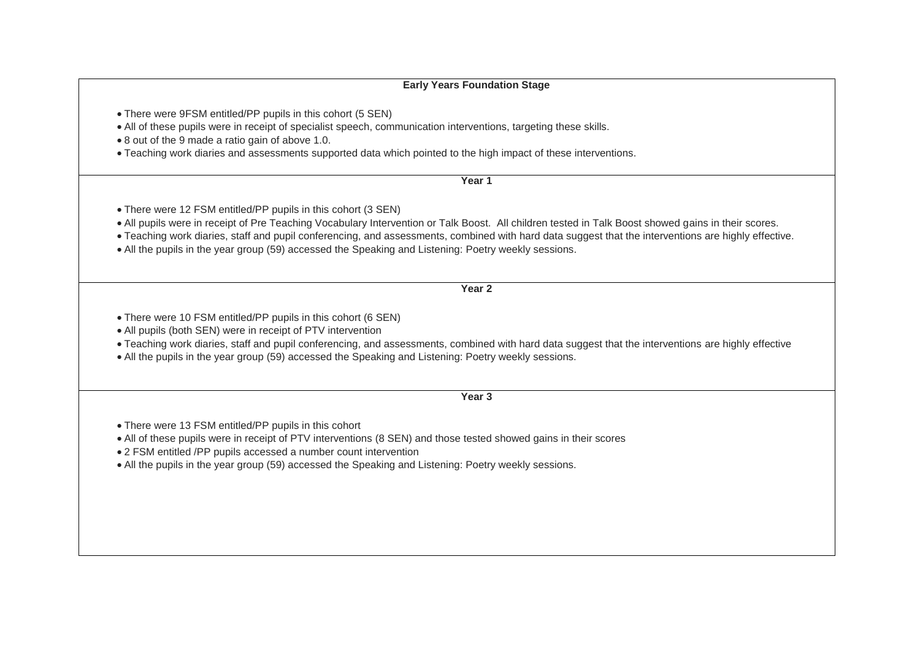#### **Early Years Foundation Stage**

- There were 9FSM entitled/PP pupils in this cohort (5 SEN)
- All of these pupils were in receipt of specialist speech, communication interventions, targeting these skills.
- 8 out of the 9 made a ratio gain of above 1.0.
- Teaching work diaries and assessments supported data which pointed to the high impact of these interventions.

**Year 1**

There were 12 FSM entitled/PP pupils in this cohort (3 SEN)

All pupils were in receipt of Pre Teaching Vocabulary Intervention or Talk Boost. All children tested in Talk Boost showed gains in their scores.

- Teaching work diaries, staff and pupil conferencing, and assessments, combined with hard data suggest that the interventions are highly effective.
- All the pupils in the year group (59) accessed the Speaking and Listening: Poetry weekly sessions.

**Year 2**

- There were 10 FSM entitled/PP pupils in this cohort (6 SEN)
- All pupils (both SEN) were in receipt of PTV intervention
- Teaching work diaries, staff and pupil conferencing, and assessments, combined with hard data suggest that the interventions are highly effective
- All the pupils in the year group (59) accessed the Speaking and Listening: Poetry weekly sessions.

**Year 3**

- There were 13 FSM entitled/PP pupils in this cohort
- All of these pupils were in receipt of PTV interventions (8 SEN) and those tested showed gains in their scores
- 2 FSM entitled /PP pupils accessed a number count intervention
- All the pupils in the year group (59) accessed the Speaking and Listening: Poetry weekly sessions.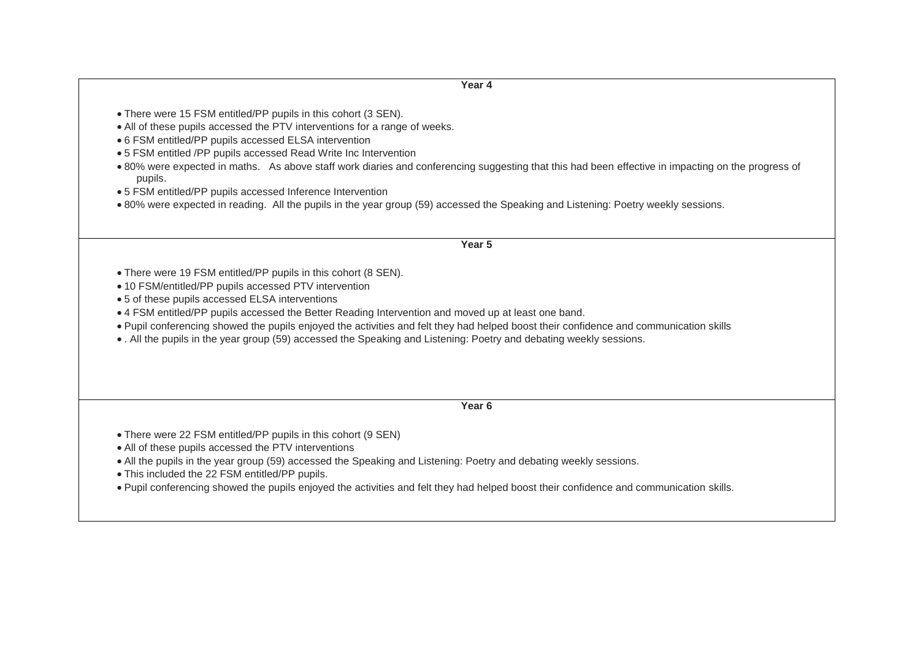**Year 4**

- There were 15 FSM entitled/PP pupils in this cohort (3 SEN).
- All of these pupils accessed the PTV interventions for a range of weeks.
- 6 FSM entitled/PP pupils accessed ELSA intervention
- 5 FSM entitled /PP pupils accessed Read Write Inc Intervention
- 80% were expected in maths. As above staff work diaries and conferencing suggesting that this had been effective in impacting on the progress of pupils.
- 5 FSM entitled/PP pupils accessed Inference Intervention
- 80% were expected in reading. All the pupils in the year group (59) accessed the Speaking and Listening: Poetry weekly sessions.

**Year 5**

- There were 19 FSM entitled/PP pupils in this cohort (8 SEN).
- 10 FSM/entitled/PP pupils accessed PTV intervention
- 5 of these pupils accessed ELSA interventions
- 4 FSM entitled/PP pupils accessed the Better Reading Intervention and moved up at least one band.
- Pupil conferencing showed the pupils enjoyed the activities and felt they had helped boost their confidence and communication skills
- . All the pupils in the year group (59) accessed the Speaking and Listening: Poetry and debating weekly sessions.

**Year 6**

- There were 22 FSM entitled/PP pupils in this cohort (9 SEN)
- All of these pupils accessed the PTV interventions
- All the pupils in the year group (59) accessed the Speaking and Listening: Poetry and debating weekly sessions.
- This included the 22 FSM entitled/PP pupils.
- Pupil conferencing showed the pupils enjoyed the activities and felt they had helped boost their confidence and communication skills.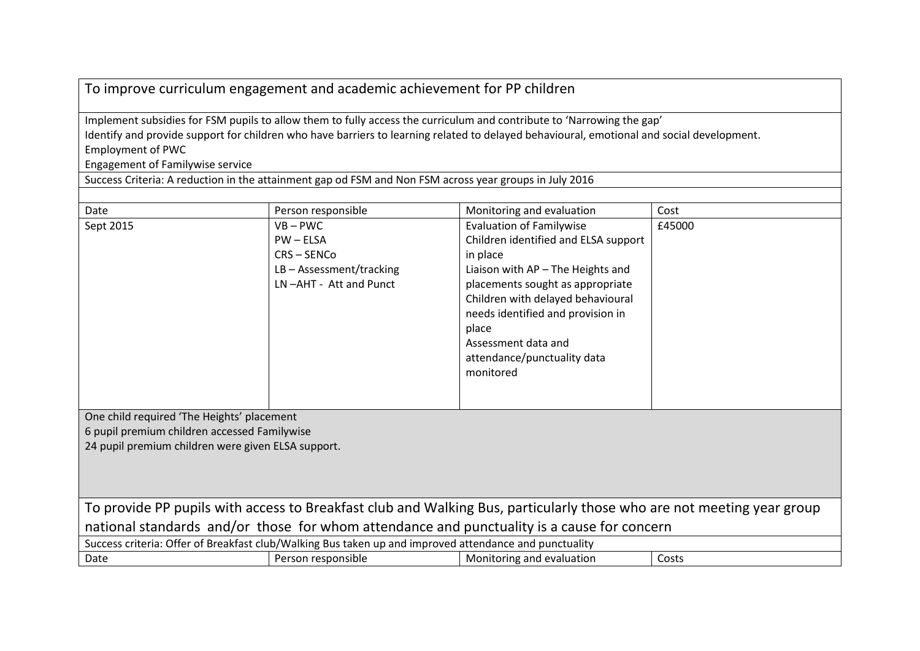| To improve curriculum engagement and academic achievement for PP children |  |
|---------------------------------------------------------------------------|--|
|---------------------------------------------------------------------------|--|

Implement subsidies for FSM pupils to allow them to fully access the curriculum and contribute to 'Narrowing the gap' Identify and provide support for children who have barriers to learning related to delayed behavioural, emotional and social development. Employment of PWC

Engagement of Familywise service

Success Criteria: A reduction in the attainment gap od FSM and Non FSM across year groups in July 2016

| Date                                                                                                                  | Person responsible         | Monitoring and evaluation            | Cost   |
|-----------------------------------------------------------------------------------------------------------------------|----------------------------|--------------------------------------|--------|
| Sept 2015                                                                                                             | $VB - PWC$                 | <b>Evaluation of Familywise</b>      | £45000 |
|                                                                                                                       | $PW - ELSA$                | Children identified and ELSA support |        |
|                                                                                                                       | CRS-SENCo                  | in place                             |        |
|                                                                                                                       | $LB - Assessment/tracting$ | Liaison with AP - The Heights and    |        |
|                                                                                                                       | LN-AHT - Att and Punct     | placements sought as appropriate     |        |
|                                                                                                                       |                            | Children with delayed behavioural    |        |
|                                                                                                                       |                            | needs identified and provision in    |        |
|                                                                                                                       |                            | place                                |        |
|                                                                                                                       |                            | Assessment data and                  |        |
|                                                                                                                       |                            | attendance/punctuality data          |        |
|                                                                                                                       |                            | monitored                            |        |
|                                                                                                                       |                            |                                      |        |
|                                                                                                                       |                            |                                      |        |
| One child required 'The Heights' placement                                                                            |                            |                                      |        |
| 6 pupil premium children accessed Familywise                                                                          |                            |                                      |        |
| 24 pupil premium children were given ELSA support.                                                                    |                            |                                      |        |
|                                                                                                                       |                            |                                      |        |
|                                                                                                                       |                            |                                      |        |
|                                                                                                                       |                            |                                      |        |
| To provide PP pupils with access to Breakfast club and Walking Bus, particularly those who are not meeting year group |                            |                                      |        |
| national standards and/or those for whom attendance and punctuality is a cause for concern                            |                            |                                      |        |
| Success criteria: Offer of Breakfast club/Walking Bus taken up and improved attendance and punctuality                |                            |                                      |        |
| Date                                                                                                                  | Person responsible         | Monitoring and evaluation            | Costs  |
|                                                                                                                       |                            |                                      |        |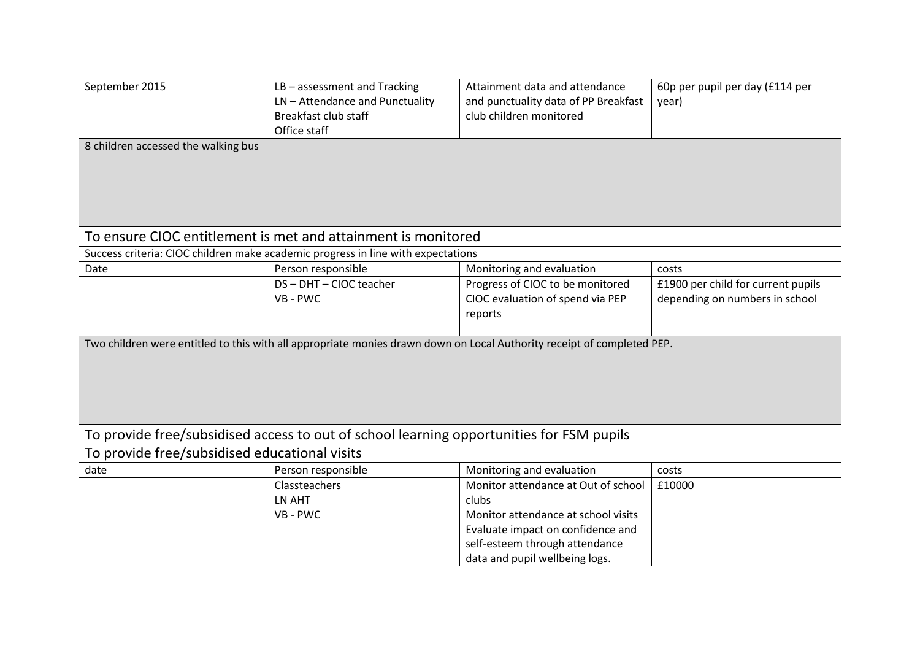| September 2015                                                                                                         | $LB - assesment$ and Tracking<br>LN - Attendance and Punctuality<br>Breakfast club staff<br>Office staff | Attainment data and attendance<br>and punctuality data of PP Breakfast<br>club children monitored | 60p per pupil per day (£114 per<br>year) |  |
|------------------------------------------------------------------------------------------------------------------------|----------------------------------------------------------------------------------------------------------|---------------------------------------------------------------------------------------------------|------------------------------------------|--|
| 8 children accessed the walking bus                                                                                    |                                                                                                          |                                                                                                   |                                          |  |
| To ensure CIOC entitlement is met and attainment is monitored                                                          |                                                                                                          |                                                                                                   |                                          |  |
|                                                                                                                        | Success criteria: CIOC children make academic progress in line with expectations                         |                                                                                                   |                                          |  |
| Date                                                                                                                   | Person responsible                                                                                       | Monitoring and evaluation                                                                         | costs                                    |  |
|                                                                                                                        | DS-DHT-CIOC teacher                                                                                      | Progress of CIOC to be monitored                                                                  | £1900 per child for current pupils       |  |
|                                                                                                                        | VB - PWC                                                                                                 | CIOC evaluation of spend via PEP                                                                  | depending on numbers in school           |  |
|                                                                                                                        |                                                                                                          | reports                                                                                           |                                          |  |
|                                                                                                                        |                                                                                                          |                                                                                                   |                                          |  |
| Two children were entitled to this with all appropriate monies drawn down on Local Authority receipt of completed PEP. |                                                                                                          |                                                                                                   |                                          |  |
| To provide free/subsidised access to out of school learning opportunities for FSM pupils                               |                                                                                                          |                                                                                                   |                                          |  |
| To provide free/subsidised educational visits                                                                          |                                                                                                          |                                                                                                   |                                          |  |
| date                                                                                                                   | Person responsible                                                                                       | Monitoring and evaluation                                                                         | costs                                    |  |
|                                                                                                                        | Classteachers                                                                                            | Monitor attendance at Out of school                                                               | £10000                                   |  |
|                                                                                                                        | LN AHT                                                                                                   | clubs                                                                                             |                                          |  |
|                                                                                                                        | VB - PWC                                                                                                 | Monitor attendance at school visits                                                               |                                          |  |
|                                                                                                                        |                                                                                                          | Evaluate impact on confidence and                                                                 |                                          |  |
|                                                                                                                        |                                                                                                          | self-esteem through attendance                                                                    |                                          |  |
|                                                                                                                        |                                                                                                          | data and pupil wellbeing logs.                                                                    |                                          |  |